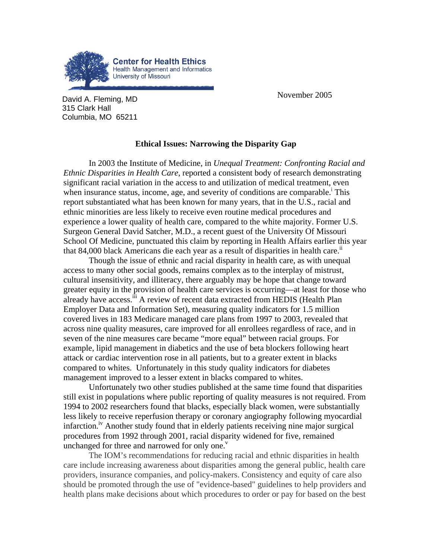

**David A. Fleming, MD November 2005** 315 Clark Hall Columbia, MO 65211

## **Ethical Issues: Narrowing the Disparity Gap**

In 2003 the Institute of Medicine, in *Unequal Treatment: Confronting Racial and Ethnic Disparities in Health Care*, reported a consistent body of research demonstrating significant racial variation in the access to and utilization of medical treatment, even wheninsurance status, income, age, and severity of conditions are comparable.<sup>i</sup> This report substantiated what has been known for many years, that in the U.S., racial and ethnic minorities are less likely to receive even routine medical procedures and experience a lower quality of health care, compared to the white majority. Former U.S. Surgeon General David Satcher, M.D., a recent guest of the University Of Missouri School Of Medicine, punctuated this claim by reporting in Health Affairs earlier this year that  $84,000$  black Americans die each year as a result of disparities in health care.<sup>11</sup>

Though the issue of ethnic and racial disparity in health care, as with unequal access to many other social goods, remains complex as to the interplay of mistrust, cultural insensitivity, and illiteracy, there arguably may be hope that change toward greater equity in the provision of health care services is occurring—at least for those who already have access.<sup>iii</sup> A review of recent data extracted from HEDIS (Health Plan Employer Data and Information Set), measuring quality indicators for 1.5 million covered lives in 183 Medicare managed care plans from 1997 to 2003, revealed that across nine quality measures, care improved for all enrollees regardless of race, and in seven of the nine measures care became "more equal" between racial groups. For example, lipid management in diabetics and the use of beta blockers following heart attack or cardiac intervention rose in all patients, but to a greater extent in blacks compared to whites. Unfortunately in this study quality indicators for diabetes management improved to a lesser extent in blacks compared to whites.

Unfortunately two other studies published at the same time found that disparities still exist in populations where public reporting of quality measures is not required. From 1994 to 2002 researchers found that blacks, especially black women, were substantially less likely to receive reperfusion therapy or coronary angiography following myocardial infarction.<sup> $\alpha$ </sup> Another study found that in elderly patients receiving nine major surgical procedures from 1992 through 2001, racial disparity widened for five, remained unchanged for three and narrowed for only one. $v$ 

The IOM's recommendations for reducing racial and ethnic disparities in health care include increasing awareness about disparities among the general public, health care providers, insurance companies, and policy-makers. Consistency and equity of care also should be promoted through the use of "evidence-based" guidelines to help providers and health plans make decisions about which procedures to order or pay for based on the best